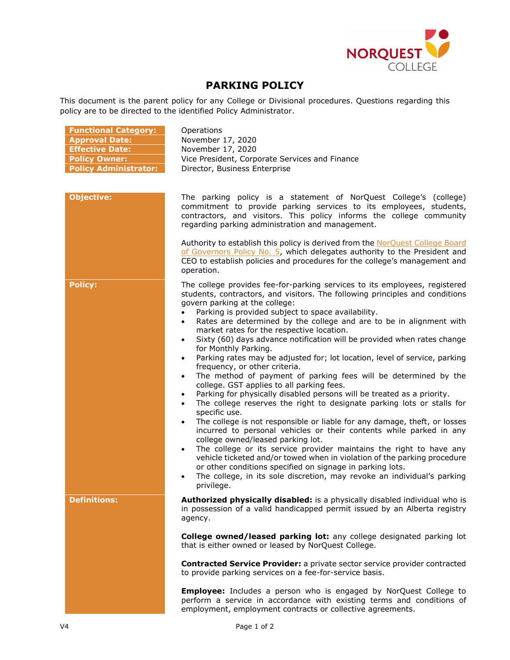

## **PARKING POLICY**

This document is the parent policy for any College or Divisional procedures. Questions regarding this policy are to be directed to the identified Policy Administrator.